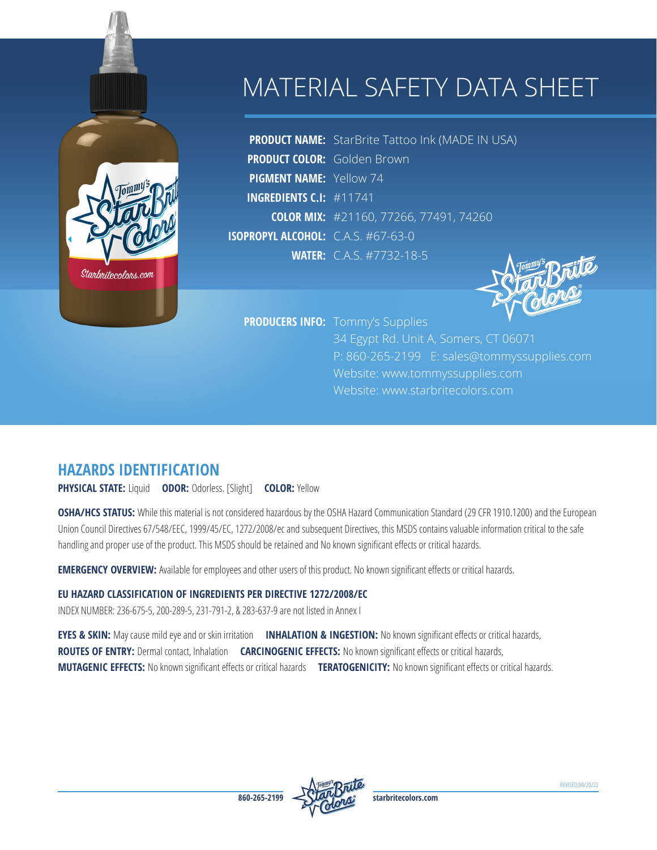# MATERIAL SAFETY DATA SHEET

**PRODUCT NAME:** StarBrite Tattoo Ink (MADE IN USA) **PRODUCT COLOR:** Golden Brown **PIGMENT NAME:** Yellow 74 **INGREDIENTS C.I:** #11741 **COLOR MIX:** #21160, 77266, 77491, 74260 **ISOPROPYL ALCOHOL:** C.A.S. #67-63-0 **WATER:** C.A.S. #7732-18-5

**PRODUCERS INFO:** Tommy's Supplies

34 Egypt Rd. Unit A, Somers, CT 06071 P: 860-265-2199 E: sales@tommyssupplies.com Website: www.tommyssupplies.com Website: www.starbritecolors.com

# **HAZARDS IDENTIFICATION**

Stanbnitecolons.com

**PHYSICAL STATE:** Liquid **ODOR:** Odorless. [Slight] **COLOR:** Yellow

**OSHA/HCS STATUS:** While this material is not considered hazardous by the OSHA Hazard Communication Standard (29 CFR 1910.1200) and the European Union Council Directives 67/548/EEC, 1999/45/EC, 1272/2008/ec and subsequent Directives, this MSDS contains valuable information critical to the safe handling and proper use of the product. This MSDS should be retained and No known significant effects or critical hazards.

**EMERGENCY OVERVIEW:** Available for employees and other users of this product. No known significant effects or critical hazards.

#### **EU HAZARD CLASSIFICATION OF INGREDIENTS PER DIRECTIVE 1272/2008/EC**

INDEX NUMBER: 236-675-5, 200-289-5, 231-791-2, & 283-637-9 are not listed in Annex I

**EYES & SKIN:** May cause mild eye and or skin irritation **INHALATION & INGESTION:** No known significant effects or critical hazards, **ROUTES OF ENTRY:** Dermal contact, Inhalation **CARCINOGENIC EFFECTS:** No known significant effects or critical hazards, **MUTAGENIC EFFECTS:** No known significant effects or critical hazards **TERATOGENICITY:** No known significant effects or critical hazards.

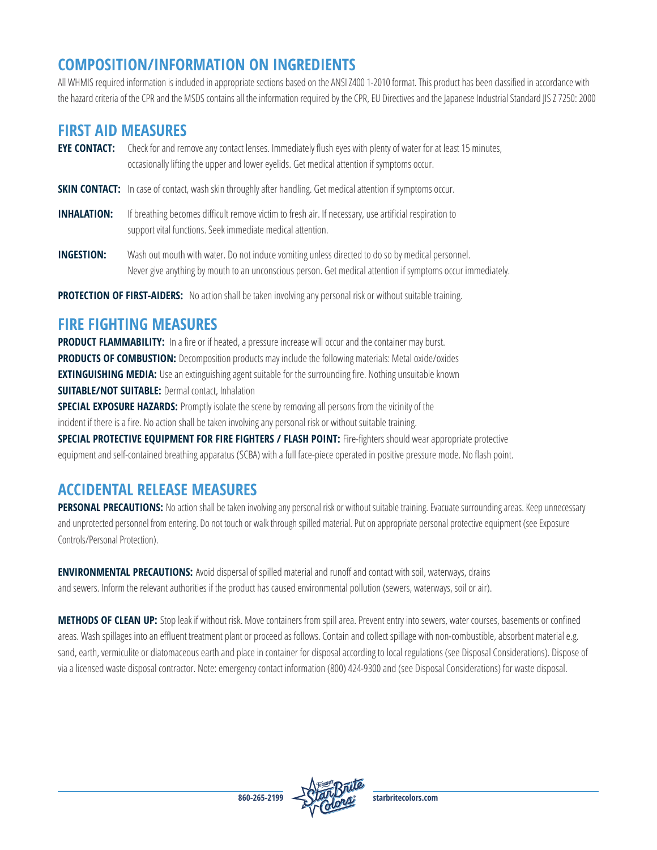# **COMPOSITION/INFORMATION ON INGREDIENTS**

All WHMIS required information is included in appropriate sections based on the ANSI Z400 1-2010 format. This product has been classified in accordance with the hazard criteria of the CPR and the MSDS contains all the information required by the CPR, EU Directives and the Japanese Industrial Standard JIS Z 7250: 2000

### **FIRST AID MEASURES**

- **EYE CONTACT:** Check for and remove any contact lenses. Immediately flush eyes with plenty of water for at least 15 minutes, occasionally lifting the upper and lower eyelids. Get medical attention if symptoms occur.
- **SKIN CONTACT:** In case of contact, wash skin throughly after handling. Get medical attention if symptoms occur.
- **INHALATION:** If breathing becomes difficult remove victim to fresh air. If necessary, use artificial respiration to support vital functions. Seek immediate medical attention.
- **INGESTION:** Wash out mouth with water. Do not induce vomiting unless directed to do so by medical personnel. Never give anything by mouth to an unconscious person. Get medical attention if symptoms occur immediately.

**PROTECTION OF FIRST-AIDERS:** No action shall be taken involving any personal risk or without suitable training.

# **FIRE FIGHTING MEASURES**

**PRODUCT FLAMMABILITY:** In a fire or if heated, a pressure increase will occur and the container may burst. **PRODUCTS OF COMBUSTION:** Decomposition products may include the following materials: Metal oxide/oxides **EXTINGUISHING MEDIA:** Use an extinguishing agent suitable for the surrounding fire. Nothing unsuitable known **SUITABLE/NOT SUITABLE: Dermal contact, Inhalation SPECIAL EXPOSURE HAZARDS:** Promptly isolate the scene by removing all persons from the vicinity of the

incident if there is a fire. No action shall be taken involving any personal risk or without suitable training.

**SPECIAL PROTECTIVE EQUIPMENT FOR FIRE FIGHTERS / FLASH POINT:** Fire-fighters should wear appropriate protective equipment and self-contained breathing apparatus (SCBA) with a full face-piece operated in positive pressure mode. No flash point.

# **ACCIDENTAL RELEASE MEASURES**

PERSONAL PRECAUTIONS: No action shall be taken involving any personal risk or without suitable training. Evacuate surrounding areas. Keep unnecessary and unprotected personnel from entering. Do not touch or walk through spilled material. Put on appropriate personal protective equipment (see Exposure Controls/Personal Protection).

**ENVIRONMENTAL PRECAUTIONS:** Avoid dispersal of spilled material and runoff and contact with soil, waterways, drains and sewers. Inform the relevant authorities if the product has caused environmental pollution (sewers, waterways, soil or air).

**METHODS OF CLEAN UP:** Stop leak if without risk. Move containers from spill area. Prevent entry into sewers, water courses, basements or confined areas. Wash spillages into an effluent treatment plant or proceed as follows. Contain and collect spillage with non-combustible, absorbent material e.g. sand, earth, vermiculite or diatomaceous earth and place in container for disposal according to local regulations (see Disposal Considerations). Dispose of via a licensed waste disposal contractor. Note: emergency contact information (800) 424-9300 and (see Disposal Considerations) for waste disposal.

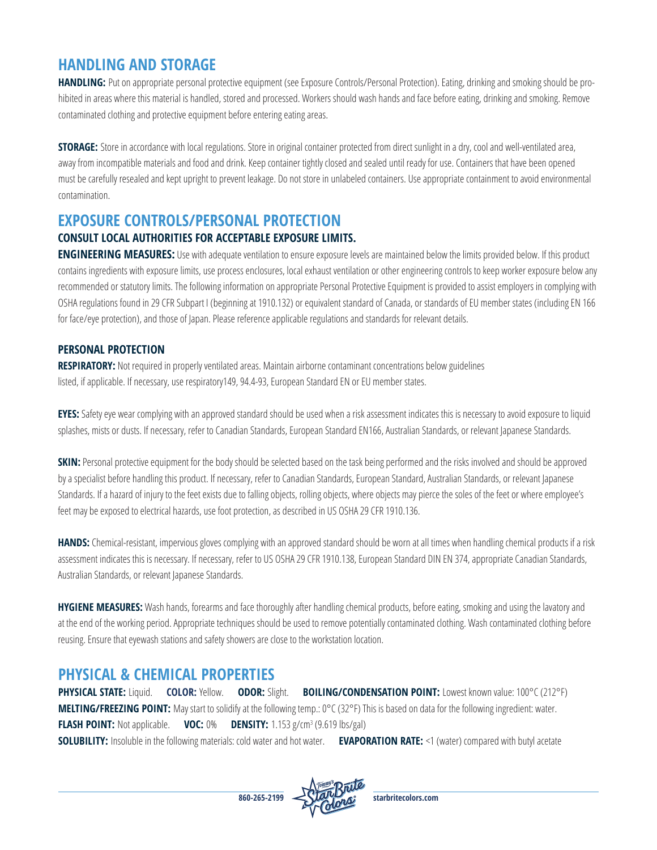### **HANDLING AND STORAGE**

**HANDLING:** Put on appropriate personal protective equipment (see Exposure Controls/Personal Protection). Eating, drinking and smoking should be prohibited in areas where this material is handled, stored and processed. Workers should wash hands and face before eating, drinking and smoking. Remove contaminated clothing and protective equipment before entering eating areas.

**STORAGE:** Store in accordance with local regulations. Store in original container protected from direct sunlight in a dry, cool and well-ventilated area, away from incompatible materials and food and drink. Keep container tightly closed and sealed until ready for use. Containers that have been opened must be carefully resealed and kept upright to prevent leakage. Do not store in unlabeled containers. Use appropriate containment to avoid environmental contamination.

### **EXPOSURE CONTROLS/PERSONAL PROTECTION**

#### **CONSULT LOCAL AUTHORITIES FOR ACCEPTABLE EXPOSURE LIMITS.**

**ENGINEERING MEASURES:** Use with adequate ventilation to ensure exposure levels are maintained below the limits provided below. If this product contains ingredients with exposure limits, use process enclosures, local exhaust ventilation or other engineering controls to keep worker exposure below any recommended or statutory limits. The following information on appropriate Personal Protective Equipment is provided to assist employers in complying with OSHA regulations found in 29 CFR Subpart I (beginning at 1910.132) or equivalent standard of Canada, or standards of EU member states (including EN 166 for face/eye protection), and those of Japan. Please reference applicable regulations and standards for relevant details.

#### **PERSONAL PROTECTION**

**RESPIRATORY:** Not required in properly ventilated areas. Maintain airborne contaminant concentrations below guidelines listed, if applicable. If necessary, use respiratory149, 94.4-93, European Standard EN or EU member states.

**EYES:**Safety eye wear complying with an approved standard should be used when a risk assessment indicates this is necessary to avoid exposure to liquid splashes, mists or dusts. If necessary, refer to Canadian Standards, European Standard EN166, Australian Standards, or relevant Japanese Standards.

**SKIN:** Personal protective equipment for the body should be selected based on the task being performed and the risks involved and should be approved by a specialist before handling this product. If necessary, refer to Canadian Standards, European Standard, Australian Standards, or relevant Japanese Standards. If a hazard of injury to the feet exists due to falling objects, rolling objects, where objects may pierce the soles of the feet or where employee's feet may be exposed to electrical hazards, use foot protection, as described in US OSHA 29 CFR 1910.136.

**HANDS:** Chemical-resistant, impervious gloves complying with an approved standard should be worn at all times when handling chemical products if a risk assessment indicates this is necessary. If necessary, refer to US OSHA 29 CFR 1910.138, European Standard DIN EN 374, appropriate Canadian Standards, Australian Standards, or relevant Japanese Standards.

**HYGIENE MEASURES:** Wash hands, forearms and face thoroughly after handling chemical products, before eating, smoking and using the lavatory and at the end of the working period. Appropriate techniques should be used to remove potentially contaminated clothing. Wash contaminated clothing before reusing. Ensure that eyewash stations and safety showers are close to the workstation location.

### **PHYSICAL & CHEMICAL PROPERTIES**

**PHYSICAL STATE:** Liquid. **COLOR:** Yellow. **ODOR:** Slight. **BOILING/CONDENSATION POINT:** Lowest known value: 100°C (212°F) **MELTING/FREEZING POINT:** May start to solidify at the following temp.: 0°C (32°F) This is based on data for the following ingredient: water. **FLASH POINT:** Not applicable. **VOC:** 0% **DENSITY:** 1.153 g/cm<sup>3</sup> (9.619 lbs/gal) **SOLUBILITY:** Insoluble in the following materials: cold water and hot water. **EVAPORATION RATE:** <1 (water) compared with butyl acetate

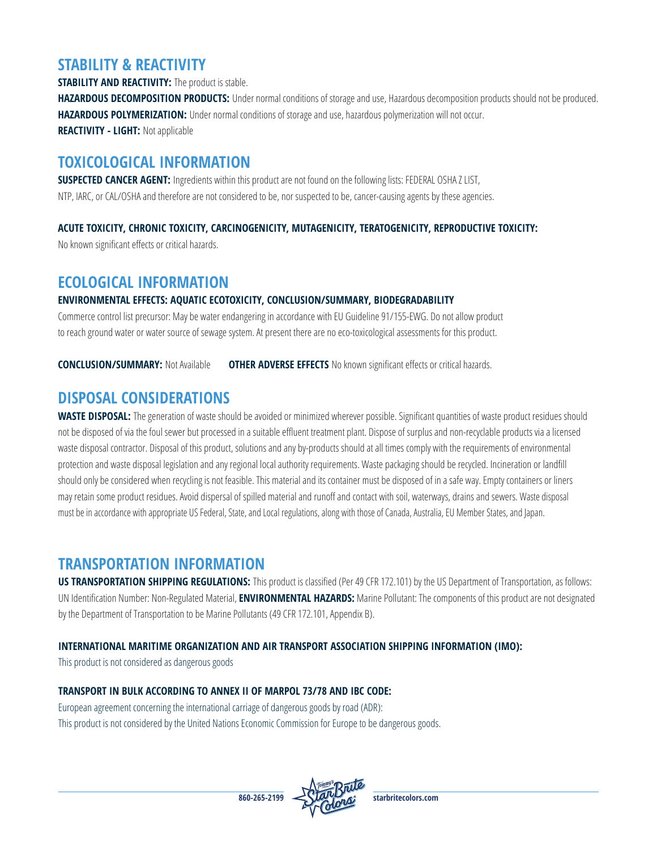## **STABILITY & REACTIVITY**

**STABILITY AND REACTIVITY:** The product is stable. **HAZARDOUS DECOMPOSITION PRODUCTS:** Under normal conditions of storage and use, Hazardous decomposition products should not be produced. **HAZARDOUS POLYMERIZATION:** Under normal conditions of storage and use, hazardous polymerization will not occur. **REACTIVITY - LIGHT:** Not applicable

### **TOXICOLOGICAL INFORMATION**

**SUSPECTED CANCER AGENT:** Ingredients within this product are not found on the following lists: FEDERAL OSHA Z LIST, NTP, IARC, or CAL/OSHA and therefore are not considered to be, nor suspected to be, cancer-causing agents by these agencies.

#### **ACUTE TOXICITY, CHRONIC TOXICITY, CARCINOGENICITY, MUTAGENICITY, TERATOGENICITY, REPRODUCTIVE TOXICITY:**

No known significant effects or critical hazards.

### **ECOLOGICAL INFORMATION**

#### **ENVIRONMENTAL EFFECTS: AQUATIC ECOTOXICITY, CONCLUSION/SUMMARY, BIODEGRADABILITY**

Commerce control list precursor: May be water endangering in accordance with EU Guideline 91/155-EWG. Do not allow product to reach ground water or water source of sewage system. At present there are no eco-toxicological assessments for this product.

**CONCLUSION/SUMMARY:** Not Available **OTHER ADVERSE EFFECTS** No known significant effects or critical hazards.

### **DISPOSAL CONSIDERATIONS**

**WASTE DISPOSAL:** The generation of waste should be avoided or minimized wherever possible. Significant quantities of waste product residues should not be disposed of via the foul sewer but processed in a suitable effluent treatment plant. Dispose of surplus and non-recyclable products via a licensed waste disposal contractor. Disposal of this product, solutions and any by-products should at all times comply with the requirements of environmental protection and waste disposal legislation and any regional local authority requirements. Waste packaging should be recycled. Incineration or landfill should only be considered when recycling is not feasible. This material and its container must be disposed of in a safe way. Empty containers or liners may retain some product residues. Avoid dispersal of spilled material and runoff and contact with soil, waterways, drains and sewers. Waste disposal must be in accordance with appropriate US Federal, State, and Local regulations, along with those of Canada, Australia, EU Member States, and Japan.

### **TRANSPORTATION INFORMATION**

**US TRANSPORTATION SHIPPING REGULATIONS:** This product is classified (Per 49 CFR 172.101) by the US Department of Transportation, as follows: UN Identification Number: Non-Regulated Material, **ENVIRONMENTAL HAZARDS:** Marine Pollutant: The components of this product are not designated by the Department of Transportation to be Marine Pollutants (49 CFR 172.101, Appendix B).

#### **INTERNATIONAL MARITIME ORGANIZATION AND AIR TRANSPORT ASSOCIATION SHIPPING INFORMATION (IMO):**

This product is not considered as dangerous goods

#### **TRANSPORT IN BULK ACCORDING TO ANNEX II OF MARPOL 73/78 AND IBC CODE:**

European agreement concerning the international carriage of dangerous goods by road (ADR): This product is not considered by the United Nations Economic Commission for Europe to be dangerous goods.